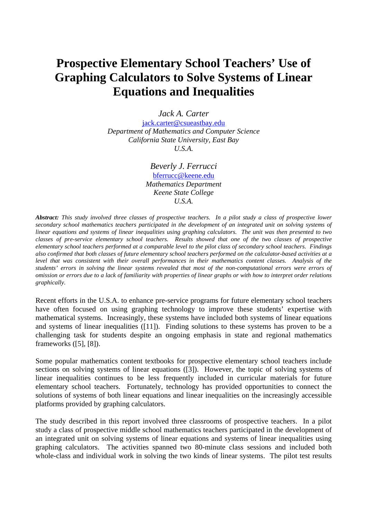## **Prospective Elementary School Teachers' Use of Graphing Calculators to Solve Systems of Linear Equations and Inequalities**

*Jack A. Carter* 

jack.carter@csueastbay.edu *Department of Mathematics and Computer Science California State University, East Bay U.S.A.* 

> *Beverly J. Ferrucci*  bferrucc@keene.edu *Mathematics Department Keene State College U.S.A.*

*Abstract: This study involved three classes of prospective teachers. In a pilot study a class of prospective lower secondary school mathematics teachers participated in the development of an integrated unit on solving systems of linear equations and systems of linear inequalities using graphing calculators. The unit was then presented to two classes of pre-service elementary school teachers. Results showed that one of the two classes of prospective elementary school teachers performed at a comparable level to the pilot class of secondary school teachers. Findings also confirmed that both classes of future elementary school teachers performed on the calculator-based activities at a level that was consistent with their overall performances in their mathematics content classes. Analysis of the students' errors in solving the linear systems revealed that most of the non-computational errors were errors of omission or errors due to a lack of familiarity with properties of linear graphs or with how to interpret order relations graphically.*

Recent efforts in the U.S.A. to enhance pre-service programs for future elementary school teachers have often focused on using graphing technology to improve these students' expertise with mathematical systems. Increasingly, these systems have included both systems of linear equations and systems of linear inequalities ([11]). Finding solutions to these systems has proven to be a challenging task for students despite an ongoing emphasis in state and regional mathematics frameworks ([5], [8]).

Some popular mathematics content textbooks for prospective elementary school teachers include sections on solving systems of linear equations ([3]). However, the topic of solving systems of linear inequalities continues to be less frequently included in curricular materials for future elementary school teachers. Fortunately, technology has provided opportunities to connect the solutions of systems of both linear equations and linear inequalities on the increasingly accessible platforms provided by graphing calculators.

The study described in this report involved three classrooms of prospective teachers. In a pilot study a class of prospective middle school mathematics teachers participated in the development of an integrated unit on solving systems of linear equations and systems of linear inequalities using graphing calculators. The activities spanned two 80-minute class sessions and included both whole-class and individual work in solving the two kinds of linear systems. The pilot test results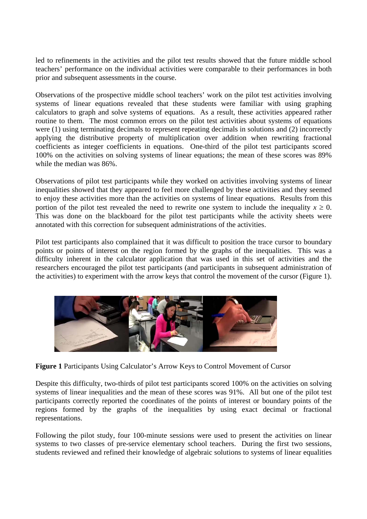led to refinements in the activities and the pilot test results showed that the future middle school teachers' performance on the individual activities were comparable to their performances in both prior and subsequent assessments in the course.

Observations of the prospective middle school teachers' work on the pilot test activities involving systems of linear equations revealed that these students were familiar with using graphing calculators to graph and solve systems of equations. As a result, these activities appeared rather routine to them. The most common errors on the pilot test activities about systems of equations were (1) using terminating decimals to represent repeating decimals in solutions and (2) incorrectly applying the distributive property of multiplication over addition when rewriting fractional coefficients as integer coefficients in equations. One-third of the pilot test participants scored 100% on the activities on solving systems of linear equations; the mean of these scores was 89% while the median was 86%.

Observations of pilot test participants while they worked on activities involving systems of linear inequalities showed that they appeared to feel more challenged by these activities and they seemed to enjoy these activities more than the activities on systems of linear equations. Results from this portion of the pilot test revealed the need to rewrite one system to include the inequality  $x \ge 0$ . This was done on the blackboard for the pilot test participants while the activity sheets were annotated with this correction for subsequent administrations of the activities.

Pilot test participants also complained that it was difficult to position the trace cursor to boundary points or points of interest on the region formed by the graphs of the inequalities. This was a difficulty inherent in the calculator application that was used in this set of activities and the researchers encouraged the pilot test participants (and participants in subsequent administration of the activities) to experiment with the arrow keys that control the movement of the cursor (Figure 1).



**Figure 1** Participants Using Calculator's Arrow Keys to Control Movement of Cursor

Despite this difficulty, two-thirds of pilot test participants scored 100% on the activities on solving systems of linear inequalities and the mean of these scores was 91%. All but one of the pilot test participants correctly reported the coordinates of the points of interest or boundary points of the regions formed by the graphs of the inequalities by using exact decimal or fractional representations.

Following the pilot study, four 100-minute sessions were used to present the activities on linear systems to two classes of pre-service elementary school teachers. During the first two sessions, students reviewed and refined their knowledge of algebraic solutions to systems of linear equalities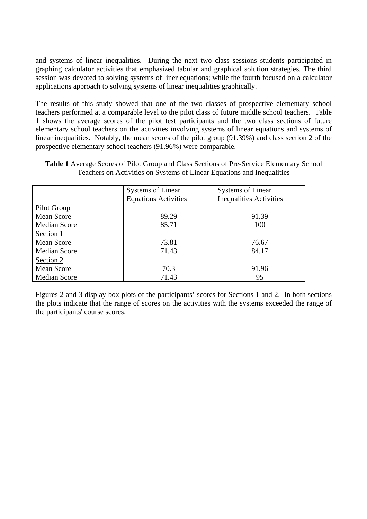and systems of linear inequalities. During the next two class sessions students participated in graphing calculator activities that emphasized tabular and graphical solution strategies. The third session was devoted to solving systems of liner equations; while the fourth focused on a calculator applications approach to solving systems of linear inequalities graphically.

The results of this study showed that one of the two classes of prospective elementary school teachers performed at a comparable level to the pilot class of future middle school teachers. Table 1 shows the average scores of the pilot test participants and the two class sections of future elementary school teachers on the activities involving systems of linear equations and systems of linear inequalities. Notably, the mean scores of the pilot group (91.39%) and class section 2 of the prospective elementary school teachers (91.96%) were comparable.

| <b>Table 1</b> Average Scores of Pilot Group and Class Sections of Pre-Service Elementary School |
|--------------------------------------------------------------------------------------------------|
| Teachers on Activities on Systems of Linear Equations and Inequalities                           |

|                     | <b>Systems of Linear</b><br><b>Systems of Linear</b> |                                |
|---------------------|------------------------------------------------------|--------------------------------|
|                     | <b>Equations Activities</b>                          | <b>Inequalities Activities</b> |
| Pilot Group         |                                                      |                                |
| Mean Score          | 89.29                                                | 91.39                          |
| <b>Median Score</b> | 85.71                                                | 100                            |
| Section 1           |                                                      |                                |
| Mean Score          | 73.81                                                | 76.67                          |
| <b>Median Score</b> | 71.43                                                | 84.17                          |
| Section 2           |                                                      |                                |
| Mean Score          | 70.3                                                 | 91.96                          |
| <b>Median Score</b> | 71.43                                                | 95                             |

Figures 2 and 3 display box plots of the participants' scores for Sections 1 and 2. In both sections the plots indicate that the range of scores on the activities with the systems exceeded the range of the participants' course scores.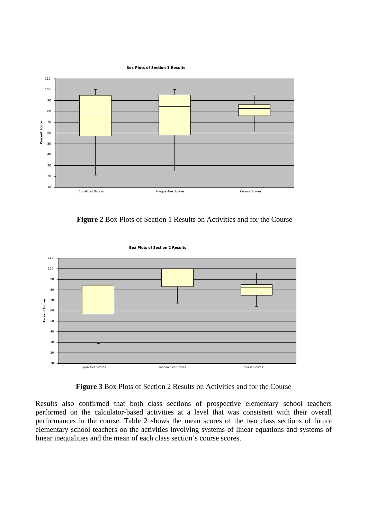**Box Plots of Section 1 Results**



**Figure 2** Box Plots of Section 1 Results on Activities and for the Course



**Figure 3** Box Plots of Section 2 Results on Activities and for the Course

Results also confirmed that both class sections of prospective elementary school teachers performed on the calculator-based activities at a level that was consistent with their overall performances in the course. Table 2 shows the mean scores of the two class sections of future elementary school teachers on the activities involving systems of linear equations and systems of linear inequalities and the mean of each class section's course scores.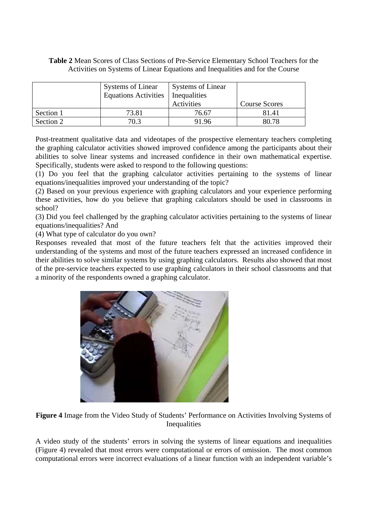## **Table 2** Mean Scores of Class Sections of Pre-Service Elementary School Teachers for the Activities on Systems of Linear Equations and Inequalities and for the Course

|           | <b>Systems of Linear</b><br><b>Equations Activities</b> | <b>Systems of Linear</b><br>Inequalities |               |
|-----------|---------------------------------------------------------|------------------------------------------|---------------|
|           |                                                         | Activities                               | Course Scores |
| Section 1 | 73.81                                                   | 76.67                                    | 81.41         |
| Section 2 | 70.3                                                    | 91 96                                    | 80.78         |

Post-treatment qualitative data and videotapes of the prospective elementary teachers completing the graphing calculator activities showed improved confidence among the participants about their abilities to solve linear systems and increased confidence in their own mathematical expertise. Specifically, students were asked to respond to the following questions:

(1) Do you feel that the graphing calculator activities pertaining to the systems of linear equations/inequalities improved your understanding of the topic?

(2) Based on your previous experience with graphing calculators and your experience performing these activities, how do you believe that graphing calculators should be used in classrooms in school?

(3) Did you feel challenged by the graphing calculator activities pertaining to the systems of linear equations/inequalities? And

(4) What type of calculator do you own?

Responses revealed that most of the future teachers felt that the activities improved their understanding of the systems and most of the future teachers expressed an increased confidence in their abilities to solve similar systems by using graphing calculators. Results also showed that most of the pre-service teachers expected to use graphing calculators in their school classrooms and that a minority of the respondents owned a graphing calculator.



**Figure 4** Image from the Video Study of Students' Performance on Activities Involving Systems of Inequalities

A video study of the students' errors in solving the systems of linear equations and inequalities (Figure 4) revealed that most errors were computational or errors of omission. The most common computational errors were incorrect evaluations of a linear function with an independent variable's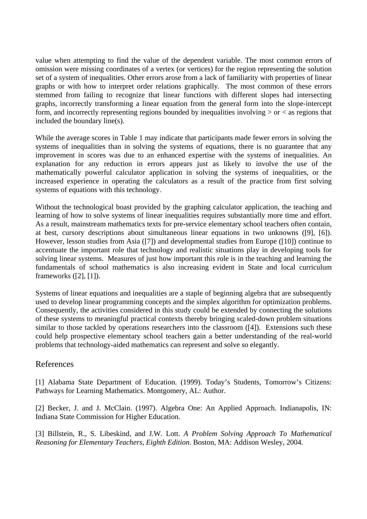value when attempting to find the value of the dependent variable. The most common errors of omission were missing coordinates of a vertex (or vertices) for the region representing the solution set of a system of inequalities. Other errors arose from a lack of familiarity with properties of linear graphs or with how to interpret order relations graphically. The most common of these errors stemmed from failing to recognize that linear functions with different slopes had intersecting graphs, incorrectly transforming a linear equation from the general form into the slope-intercept form, and incorrectly representing regions bounded by inequalities involving  $>$  or  $<$  as regions that included the boundary line(s).

While the average scores in Table 1 may indicate that participants made fewer errors in solving the systems of inequalities than in solving the systems of equations, there is no guarantee that any improvement in scores was due to an enhanced expertise with the systems of inequalities. An explanation for any reduction in errors appears just as likely to involve the use of the mathematically powerful calculator application in solving the systems of inequalities, or the increased experience in operating the calculators as a result of the practice from first solving systems of equations with this technology.

Without the technological boast provided by the graphing calculator application, the teaching and learning of how to solve systems of linear inequalities requires substantially more time and effort. As a result, mainstream mathematics texts for pre-service elementary school teachers often contain, at best, cursory descriptions about simultaneous linear equations in two unknowns ([9], [6]). However, lesson studies from Asia ([7]) and developmental studies from Europe ([10]) continue to accentuate the important role that technology and realistic situations play in developing tools for solving linear systems. Measures of just how important this role is in the teaching and learning the fundamentals of school mathematics is also increasing evident in State and local curriculum frameworks ([2], [1]).

Systems of linear equations and inequalities are a staple of beginning algebra that are subsequently used to develop linear programming concepts and the simplex algorithm for optimization problems. Consequently, the activities considered in this study could be extended by connecting the solutions of these systems to meaningful practical contexts thereby bringing scaled-down problem situations similar to those tackled by operations researchers into the classroom ([4]). Extensions such these could help prospective elementary school teachers gain a better understanding of the real-world problems that technology-aided mathematics can represent and solve so elegantly.

## References

[1] Alabama State Department of Education. (1999). Today's Students, Tomorrow's Citizens: Pathways for Learning Mathematics. Montgomery, AL: Author.

[2] Becker, J. and J. McClain. (1997). Algebra One: An Applied Approach. Indianapolis, IN: Indiana State Commission for Higher Education.

[3] Billstein, R., S. Libeskind, and J.W. Lott. *A Problem Solving Approach To Mathematical Reasoning for Elementary Teachers, Eighth Edition.* Boston, MA: Addison Wesley, 2004.